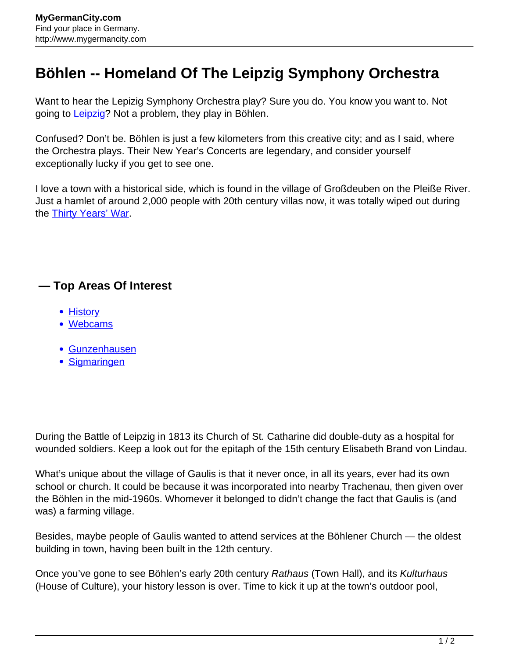## **Böhlen -- Homeland Of The Leipzig Symphony Orchestra**

Want to hear the Lepizig Symphony Orchestra play? Sure you do. You know you want to. Not going to [Leipzig?](http://www.mygermancity.com/leipzig) Not a problem, they play in Böhlen.

Confused? Don't be. Böhlen is just a few kilometers from this creative city; and as I said, where the Orchestra plays. Their New Year's Concerts are legendary, and consider yourself exceptionally lucky if you get to see one.

I love a town with a historical side, which is found in the village of Großdeuben on the Pleiße River. Just a hamlet of around 2,000 people with 20th century villas now, it was totally wiped out during the **[Thirty Years' War](http://www.mygermancity.com/thirty-years-war)**.

## **— Top Areas Of Interest**

- [History](http://www.mygermancity.com/leipzig-history)
- [Webcams](http://www.mygermancity.com/neustadt-holstein-webcams)
- [Gunzenhausen](http://www.mygermancity.com/gunzenhausen)
- [Sigmaringen](http://www.mygermancity.com/sigmaringen)

During the Battle of Leipzig in 1813 its Church of St. Catharine did double-duty as a hospital for wounded soldiers. Keep a look out for the epitaph of the 15th century Elisabeth Brand von Lindau.

What's unique about the village of Gaulis is that it never once, in all its years, ever had its own school or church. It could be because it was incorporated into nearby Trachenau, then given over the Böhlen in the mid-1960s. Whomever it belonged to didn't change the fact that Gaulis is (and was) a farming village.

Besides, maybe people of Gaulis wanted to attend services at the Böhlener Church — the oldest building in town, having been built in the 12th century.

Once you've gone to see Böhlen's early 20th century Rathaus (Town Hall), and its Kulturhaus (House of Culture), your history lesson is over. Time to kick it up at the town's outdoor pool,